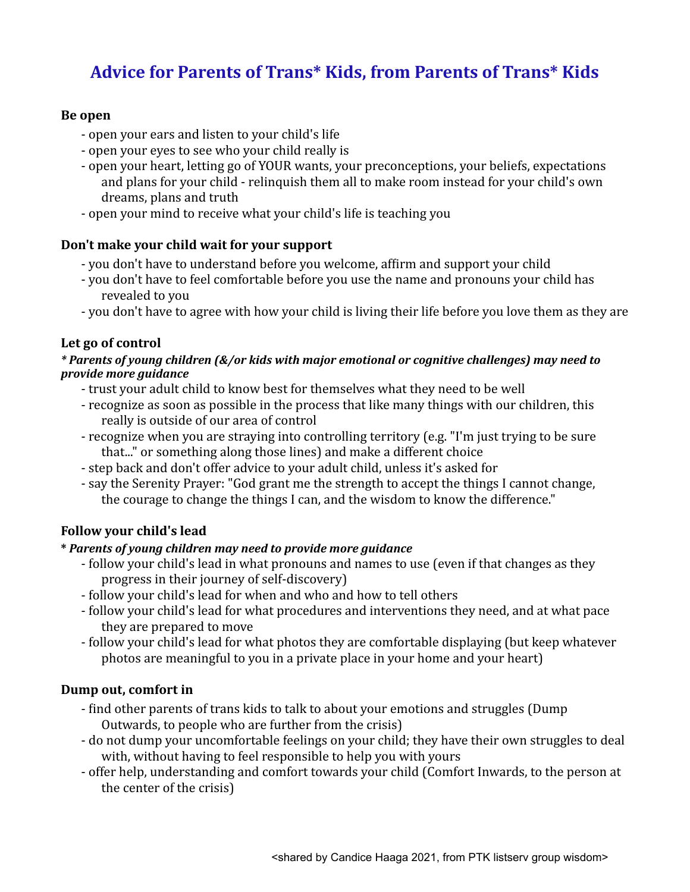# **Advice for Parents of Trans\* Kids, from Parents of Trans\* Kids**

## **Be open**

- open your ears and listen to your child's life
- open your eyes to see who your child really is
- open your heart, letting go of YOUR wants, your preconceptions, your beliefs, expectations and plans for your child - relinquish them all to make room instead for your child's own dreams, plans and truth
- open your mind to receive what your child's life is teaching you

## Don't make your child wait for your support

- you don't have to understand before you welcome, affirm and support your child
- you don't have to feel comfortable before you use the name and pronouns your child has revealed to you
- you don't have to agree with how your child is living their life before you love them as they are

## Let go of control

#### *\* Parents of young children (&/or kids with major emotional or cognitive challenges) may need to provide more guidance*

- trust your adult child to know best for themselves what they need to be well
- recognize as soon as possible in the process that like many things with our children, this really is outside of our area of control
- recognize when you are straying into controlling territory (e.g. "I'm just trying to be sure that..." or something along those lines) and make a different choice
- step back and don't offer advice to your adult child, unless it's asked for
- say the Serenity Prayer: "God grant me the strength to accept the things I cannot change, the courage to change the things I can, and the wisdom to know the difference."

## **Follow your child's lead**

## **\*** *Parents of young children may need to provide more guidance*

- follow your child's lead in what pronouns and names to use (even if that changes as they progress in their journey of self-discovery)
- follow your child's lead for when and who and how to tell others
- follow your child's lead for what procedures and interventions they need, and at what pace they are prepared to move
- follow your child's lead for what photos they are comfortable displaying (but keep whatever photos are meaningful to you in a private place in your home and your heart)

## **Dump out, comfort in**

- find other parents of trans kids to talk to about your emotions and struggles (Dump) Outwards, to people who are further from the crisis)
- do not dump vour uncomfortable feelings on your child; they have their own struggles to deal with, without having to feel responsible to help you with yours
- offer help, understanding and comfort towards your child (Comfort Inwards, to the person at the center of the crisis)